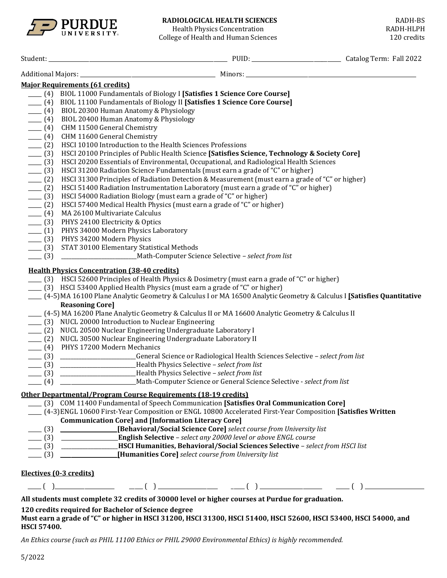

# **RADIOLOGICAL HEALTH SCIENCES** RADH-BS<br>
Health Physics Concentration RADH-HLPH

Health Physics Concentration<br>ege of Health and Human Sciences and the control of the set of Health and Human Sciences College of Health and Human Sciences

|         | <b>Major Requirements (61 credits)</b>                                                                                     |  |  |  |  |  |  |  |
|---------|----------------------------------------------------------------------------------------------------------------------------|--|--|--|--|--|--|--|
|         | [4] BIOL 11000 Fundamentals of Biology I [Satisfies 1 Science Core Course]                                                 |  |  |  |  |  |  |  |
|         | [4] BIOL 11100 Fundamentals of Biology II [Satisfies 1 Science Core Course]                                                |  |  |  |  |  |  |  |
| $- (4)$ | BIOL 20300 Human Anatomy & Physiology                                                                                      |  |  |  |  |  |  |  |
| $- (4)$ | BIOL 20400 Human Anatomy & Physiology                                                                                      |  |  |  |  |  |  |  |
| $- (4)$ | CHM 11500 General Chemistry                                                                                                |  |  |  |  |  |  |  |
| $- (4)$ | CHM 11600 General Chemistry                                                                                                |  |  |  |  |  |  |  |
| $- (2)$ | HSCI 10100 Introduction to the Health Sciences Professions                                                                 |  |  |  |  |  |  |  |
| $- (3)$ | HSCI 20100 Principles of Public Health Science [Satisfies Science, Technology & Society Core]                              |  |  |  |  |  |  |  |
| $-$ (3) | HSCI 20200 Essentials of Environmental, Occupational, and Radiological Health Sciences                                     |  |  |  |  |  |  |  |
| $-$ (3) | HSCI 31200 Radiation Science Fundamentals (must earn a grade of "C" or higher)                                             |  |  |  |  |  |  |  |
| $- (2)$ | HSCI 31300 Principles of Radiation Detection & Measurement (must earn a grade of "C" or higher)                            |  |  |  |  |  |  |  |
| $- (2)$ | HSCI 51400 Radiation Instrumentation Laboratory (must earn a grade of "C" or higher)                                       |  |  |  |  |  |  |  |
| $- (3)$ | HSCI 54000 Radiation Biology (must earn a grade of "C" or higher)                                                          |  |  |  |  |  |  |  |
| $- (2)$ | HSCI 57400 Medical Health Physics (must earn a grade of "C" or higher)                                                     |  |  |  |  |  |  |  |
| $- (4)$ | MA 26100 Multivariate Calculus                                                                                             |  |  |  |  |  |  |  |
| $- (3)$ | PHYS 24100 Electricity & Optics                                                                                            |  |  |  |  |  |  |  |
| $- (1)$ | PHYS 34000 Modern Physics Laboratory                                                                                       |  |  |  |  |  |  |  |
| $- (3)$ | PHYS 34200 Modern Physics                                                                                                  |  |  |  |  |  |  |  |
| $- (3)$ | STAT 30100 Elementary Statistical Methods                                                                                  |  |  |  |  |  |  |  |
| $- (3)$ | _________________________________Math-Computer Science Selective - select from list                                        |  |  |  |  |  |  |  |
|         | <b>Health Physics Concentration (38-40 credits)</b>                                                                        |  |  |  |  |  |  |  |
|         | (3) HSCI 52600 Principles of Health Physics & Dosimetry (must earn a grade of "C" or higher)                               |  |  |  |  |  |  |  |
|         | (3) HSCI 53400 Applied Health Physics (must earn a grade of "C" or higher)                                                 |  |  |  |  |  |  |  |
|         | ___ (4-5) MA 16100 Plane Analytic Geometry & Calculus I or MA 16500 Analytic Geometry & Calculus I [Satisfies Quantitative |  |  |  |  |  |  |  |
|         | <b>Reasoning Core]</b>                                                                                                     |  |  |  |  |  |  |  |
|         | (4-5) MA 16200 Plane Analytic Geometry & Calculus II or MA 16600 Analytic Geometry & Calculus II                           |  |  |  |  |  |  |  |
|         | ___ (3) NUCL 20000 Introduction to Nuclear Engineering                                                                     |  |  |  |  |  |  |  |
|         | ___ (2) NUCL 20500 Nuclear Engineering Undergraduate Laboratory I                                                          |  |  |  |  |  |  |  |
|         | ___ (2) NUCL 30500 Nuclear Engineering Undergraduate Laboratory II                                                         |  |  |  |  |  |  |  |
|         | ___ (4) PHYS 17200 Modern Mechanics                                                                                        |  |  |  |  |  |  |  |
|         | (3) ________________________General Science or Radiological Health Sciences Selective - select from list                   |  |  |  |  |  |  |  |
|         | (3) _________________________Health Physics Selective - select from list                                                   |  |  |  |  |  |  |  |
|         | (3) _________________________Health Physics Selective - select from list                                                   |  |  |  |  |  |  |  |
|         | (4) ____________________________Math-Computer Science or General Science Selective - select from list                      |  |  |  |  |  |  |  |
|         | Other Departmental/Program Course Requirements (18-19 credits)                                                             |  |  |  |  |  |  |  |
|         | [3] COM 11400 Fundamental of Speech Communication [Satisfies Oral Communication Core]                                      |  |  |  |  |  |  |  |
|         | (4-3) ENGL 10600 First-Year Composition or ENGL 10800 Accelerated First-Year Composition [Satisfies Written]               |  |  |  |  |  |  |  |
|         | <b>Communication Core] and [Information Literacy Core]</b>                                                                 |  |  |  |  |  |  |  |
|         | [Behavioral/Social Science Core] select course from University list                                                        |  |  |  |  |  |  |  |
|         | [3] English Selective - select any 20000 level or above ENGL course                                                        |  |  |  |  |  |  |  |
|         | [3] HSCI Humanities, Behavioral/Social Sciences Selective - select from HSCI list                                          |  |  |  |  |  |  |  |
|         | [Humanities Core] select course from University list                                                                       |  |  |  |  |  |  |  |
|         |                                                                                                                            |  |  |  |  |  |  |  |
|         | Electives (0-3 credits)                                                                                                    |  |  |  |  |  |  |  |
|         |                                                                                                                            |  |  |  |  |  |  |  |
|         | All students must complete 32 credits of 30000 level or higher courses at Purdue for graduation.                           |  |  |  |  |  |  |  |

# **120 credits required for Bachelor of Science degree**

**Must earn a grade of "C" or higher in HSCI 31200, HSCI 31300, HSCI 51400, HSCI 52600, HSCI 53400, HSCI 54000, and HSCI 57400.**

*An Ethics course (such as PHIL 11100 Ethics or PHIL 29000 Environmental Ethics) is highly recommended.*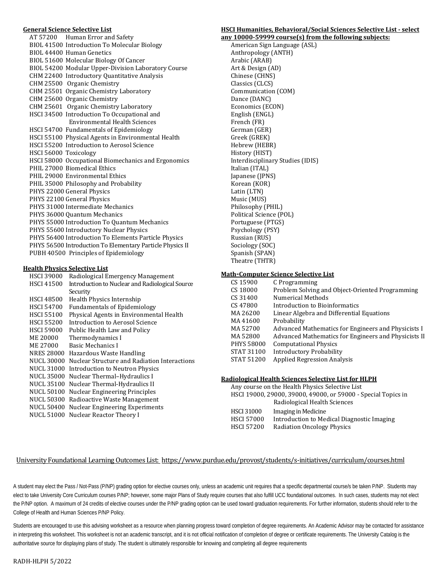## **General Science Selective List**

|                                                           | AT 57200 Human Error and Safety                     |  |  |  |  |
|-----------------------------------------------------------|-----------------------------------------------------|--|--|--|--|
|                                                           | BIOL 41500 Introduction To Molecular Biology        |  |  |  |  |
|                                                           | BIOL 44400 Human Genetics                           |  |  |  |  |
|                                                           | BIOL 51600 Molecular Biology Of Cancer              |  |  |  |  |
|                                                           | BIOL 54200 Modular Upper-Division Laboratory Course |  |  |  |  |
|                                                           | CHM 22400 Introductory Quantitative Analysis        |  |  |  |  |
|                                                           | CHM 25500 Organic Chemistry                         |  |  |  |  |
|                                                           | CHM 25501 Organic Chemistry Laboratory              |  |  |  |  |
|                                                           | CHM 25600 Organic Chemistry                         |  |  |  |  |
|                                                           | CHM 25601 Organic Chemistry Laboratory              |  |  |  |  |
|                                                           | HSCI 34500 Introduction To Occupational and         |  |  |  |  |
|                                                           | Environmental Health Sciences                       |  |  |  |  |
|                                                           | <b>HSCI 54700 Fundamentals of Epidemiology</b>      |  |  |  |  |
|                                                           | HSCI 55100 Physical Agents in Environmental Health  |  |  |  |  |
|                                                           | <b>HSCI 55200 Introduction to Aerosol Science</b>   |  |  |  |  |
| HSCI 56000 Toxicology                                     |                                                     |  |  |  |  |
|                                                           | HSCI 58000 Occupational Biomechanics and Ergonomics |  |  |  |  |
|                                                           | PHIL 27000 Biomedical Ethics                        |  |  |  |  |
|                                                           | PHIL 29000 Environmental Ethics                     |  |  |  |  |
|                                                           | PHIL 35000 Philosophy and Probability               |  |  |  |  |
|                                                           | PHYS 22000 General Physics                          |  |  |  |  |
|                                                           | PHYS 22100 General Physics                          |  |  |  |  |
|                                                           | PHYS 31000 Intermediate Mechanics                   |  |  |  |  |
| PHYS 36000 Quantum Mechanics                              |                                                     |  |  |  |  |
| PHYS 55000 Introduction To Quantum Mechanics              |                                                     |  |  |  |  |
| PHYS 55600 Introductory Nuclear Physics                   |                                                     |  |  |  |  |
| PHYS 56400 Introduction To Elements Particle Physics      |                                                     |  |  |  |  |
| PHYS 56500 Introduction To Elementary Particle Physics II |                                                     |  |  |  |  |
| PUBH 40500 Principles of Epidemiology                     |                                                     |  |  |  |  |

#### **Health Physics Selective List**

| HSCI 39000        | Radiological Emergency Management               |
|-------------------|-------------------------------------------------|
| <b>HSCI 41500</b> | Introduction to Nuclear and Radiological Source |
|                   | Security                                        |
| <b>HSCI 48500</b> | Health Physics Internship                       |
| <b>HSCI 54700</b> | <b>Fundamentals of Epidemiology</b>             |
| <b>HSCI 55100</b> | Physical Agents in Environmental Health         |
| <b>HSCI 55200</b> | Introduction to Aerosol Science                 |
| <b>HSCI 59000</b> | Public Health Law and Policy                    |
| ME 20000          | Thermodynamics I                                |
| ME 27000          | Basic Mechanics I                               |
| <b>NRES 28000</b> | Hazardous Waste Handling                        |
| <b>NUCL 30000</b> | Nuclear Structure and Radiation Interactions    |
| NUCL 31000        | Introduction to Neutron Physics                 |
| NUCL 35000        | Nuclear Thermal-Hydraulics I                    |
| NUCL 35100        | Nuclear Thermal-Hydraulics II                   |
| NUCL 50100        | <b>Nuclear Engineering Principles</b>           |
| NUCL 50300        | Radioactive Waste Management                    |
| NUCL 50400        | <b>Nuclear Engineering Experiments</b>          |
|                   | NUCL 51000 Nuclear Reactor Theory I             |
|                   |                                                 |

#### **HSCI Humanities, Behavioral/Social Sciences Selective List - select any 10000-59999 course(s) from the following subjects:**

American Sign Language (ASL) Anthropology (ANTH) Arabic (ARAB) Art & Design (AD) Chinese (CHNS) Classics (CLCS) Communication (COM) Dance (DANC) Economics (ECON) English (ENGL) French (FR) German (GER) Greek (GREK) Hebrew (HEBR) History (HIST) Interdisciplinary Studies (IDIS) Italian (ITAL) Japanese (JPNS) Korean (KOR) Latin (LTN) Music (MUS) Philosophy (PHIL) Political Science (POL) Portuguese (PTGS) Psychology (PSY) Russian (RUS) Sociology (SOC) Spanish (SPAN) Theatre (THTR)

#### **Math-Computer Science Selective List**

| CS 15900          | C Programming                                        |
|-------------------|------------------------------------------------------|
| CS 18000          | Problem Solving and Object-Oriented Programming      |
| CS 31400          | Numerical Methods                                    |
| CS 47800          | Introduction to Bioinformatics                       |
| MA 26200          | Linear Algebra and Differential Equations            |
| MA 41600          | Probability                                          |
| MA 52700          | Advanced Mathematics for Engineers and Physicists I  |
| MA 52800          | Advanced Mathematics for Engineers and Physicists II |
| <b>PHYS 58000</b> | <b>Computational Physics</b>                         |
| <b>STAT 31100</b> | <b>Introductory Probability</b>                      |
| <b>STAT 51200</b> | <b>Applied Regression Analysis</b>                   |
|                   |                                                      |

#### **Radiological Health Sciences Selective List for HLPH**

| Any course on the Health Physics Selective List               |  |  |  |  |  |
|---------------------------------------------------------------|--|--|--|--|--|
| HSCI 19000, 29000, 39000, 49000, or 59000 - Special Topics in |  |  |  |  |  |
| Radiological Health Sciences                                  |  |  |  |  |  |
| Imaging in Medicine                                           |  |  |  |  |  |
| Introduction to Medical Diagnostic Imaging                    |  |  |  |  |  |
| <b>Radiation Oncology Physics</b>                             |  |  |  |  |  |
|                                                               |  |  |  |  |  |

## University Foundational Learning Outcomes List:<https://www.purdue.edu/provost/students/s-initiatives/curriculum/courses.html>

A student may elect the Pass / Not-Pass (P/NP) grading option for elective courses only, unless an academic unit requires that a specific departmental course/s be taken P/NP. Students may elect to take University Core Curriculum courses P/NP; however, some major Plans of Study require courses that also fulfill UCC foundational outcomes. In such cases, students may not elect the P/NP option. A maximum of 24 credits of elective courses under the P/NP grading option can be used toward graduation requirements. For further information, students should refer to the College of Health and Human Sciences P/NP Policy.

Students are encouraged to use this advising worksheet as a resource when planning progress toward completion of degree requirements. An Academic Advisor may be contacted for assistance in interpreting this worksheet. This worksheet is not an academic transcript, and it is not official notification of completion of degree or certificate requirements. The University Catalog is the authoritative source for displaying plans of study. The student is ultimately responsible for knowing and completing all degree requirements